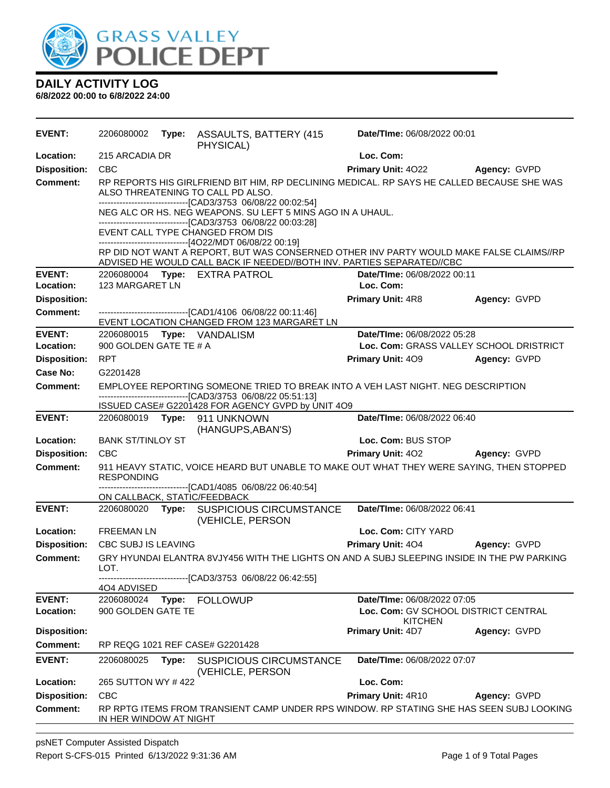

| <b>EVENT:</b>       | 2206080002                   |       | Type: ASSAULTS, BATTERY (415)<br>PHYSICAL)                                                                                                                                                                                                                    | Date/TIme: 06/08/2022 00:01                            |              |
|---------------------|------------------------------|-------|---------------------------------------------------------------------------------------------------------------------------------------------------------------------------------------------------------------------------------------------------------------|--------------------------------------------------------|--------------|
| Location:           | 215 ARCADIA DR               |       |                                                                                                                                                                                                                                                               | Loc. Com:                                              |              |
| <b>Disposition:</b> | <b>CBC</b>                   |       |                                                                                                                                                                                                                                                               | Primary Unit: 4022                                     | Agency: GVPD |
| <b>Comment:</b>     |                              |       | RP REPORTS HIS GIRLFRIEND BIT HIM, RP DECLINING MEDICAL. RP SAYS HE CALLED BECAUSE SHE WAS<br>ALSO THREATENING TO CALL PD ALSO.<br>-------------------------------[CAD3/3753_06/08/22_00:02:54]<br>NEG ALC OR HS. NEG WEAPONS. SU LEFT 5 MINS AGO IN A UHAUL. |                                                        |              |
|                     |                              |       | --------------------------------[CAD3/3753 06/08/22 00:03:28]<br>EVENT CALL TYPE CHANGED FROM DIS<br>------------------------------[4O22/MDT 06/08/22 00:19]<br>RP DID NOT WANT A REPORT, BUT WAS CONSERNED OTHER INV PARTY WOULD MAKE FALSE CLAIMS//RP       |                                                        |              |
| <b>EVENT:</b>       |                              |       | ADVISED HE WOULD CALL BACK IF NEEDED//BOTH INV. PARTIES SEPARATED//CBC                                                                                                                                                                                        | Date/TIme: 06/08/2022 00:11                            |              |
| Location:           | 123 MARGARET LN              |       | 2206080004 Type: EXTRA PATROL                                                                                                                                                                                                                                 | Loc. Com:                                              |              |
| <b>Disposition:</b> |                              |       |                                                                                                                                                                                                                                                               | <b>Primary Unit: 4R8</b>                               | Agency: GVPD |
| <b>Comment:</b>     |                              |       |                                                                                                                                                                                                                                                               |                                                        |              |
|                     |                              |       | -------------------------------[CAD1/4106 06/08/22 00:11:46]<br>EVENT LOCATION CHANGED FROM 123 MARGARET LN                                                                                                                                                   |                                                        |              |
| <b>EVENT:</b>       |                              |       | 2206080015 Type: VANDALISM                                                                                                                                                                                                                                    | Date/TIme: 06/08/2022 05:28                            |              |
| Location:           | 900 GOLDEN GATE TE # A       |       |                                                                                                                                                                                                                                                               | Loc. Com: GRASS VALLEY SCHOOL DRISTRICT                |              |
| <b>Disposition:</b> | <b>RPT</b>                   |       |                                                                                                                                                                                                                                                               | <b>Primary Unit: 409</b>                               | Agency: GVPD |
| Case No:            | G2201428                     |       |                                                                                                                                                                                                                                                               |                                                        |              |
| <b>Comment:</b>     |                              |       | EMPLOYEE REPORTING SOMEONE TRIED TO BREAK INTO A VEH LAST NIGHT. NEG DESCRIPTION                                                                                                                                                                              |                                                        |              |
|                     |                              |       | ---------------------------------[CAD3/3753 06/08/22 05:51:13]                                                                                                                                                                                                |                                                        |              |
| <b>EVENT:</b>       |                              |       | ISSUED CASE# G2201428 FOR AGENCY GVPD by UNIT 4O9<br>2206080019    Type: 911    UNKNOWN                                                                                                                                                                       | Date/TIme: 06/08/2022 06:40                            |              |
|                     |                              |       | (HANGUPS, ABAN'S)                                                                                                                                                                                                                                             |                                                        |              |
| Location:           | <b>BANK ST/TINLOY ST</b>     |       |                                                                                                                                                                                                                                                               | Loc. Com: BUS STOP                                     |              |
| <b>Disposition:</b> | <b>CBC</b>                   |       |                                                                                                                                                                                                                                                               | <b>Primary Unit: 402</b>                               | Agency: GVPD |
| <b>Comment:</b>     | <b>RESPONDING</b>            |       | 911 HEAVY STATIC, VOICE HEARD BUT UNABLE TO MAKE OUT WHAT THEY WERE SAYING, THEN STOPPED                                                                                                                                                                      |                                                        |              |
|                     | ON CALLBACK, STATIC/FEEDBACK |       | ------------------[CAD1/4085 06/08/22 06:40:54]                                                                                                                                                                                                               |                                                        |              |
| <b>EVENT:</b>       |                              |       | 2206080020 Type: SUSPICIOUS CIRCUMSTANCE<br>(VEHICLE, PERSON                                                                                                                                                                                                  | Date/TIme: 06/08/2022 06:41                            |              |
| Location:           | <b>FREEMAN LN</b>            |       |                                                                                                                                                                                                                                                               | Loc. Com: CITY YARD                                    |              |
| <b>Disposition:</b> | CBC SUBJ IS LEAVING          |       |                                                                                                                                                                                                                                                               | <b>Primary Unit: 404</b>                               | Agency: GVPD |
| Comment:            | LOT.                         |       | GRY HYUNDAI ELANTRA 8VJY456 WITH THE LIGHTS ON AND A SUBJ SLEEPING INSIDE IN THE PW PARKING                                                                                                                                                                   |                                                        |              |
|                     | 4O4 ADVISED                  |       | ------------------------------[CAD3/3753_06/08/22_06:42:55]                                                                                                                                                                                                   |                                                        |              |
| <b>EVENT:</b>       | 2206080024                   | Type: | <b>FOLLOWUP</b>                                                                                                                                                                                                                                               | Date/TIme: 06/08/2022 07:05                            |              |
| Location:           | 900 GOLDEN GATE TE           |       |                                                                                                                                                                                                                                                               | Loc. Com: GV SCHOOL DISTRICT CENTRAL<br><b>KITCHEN</b> |              |
| <b>Disposition:</b> |                              |       |                                                                                                                                                                                                                                                               | <b>Primary Unit: 4D7</b>                               | Agency: GVPD |
| Comment:            |                              |       | RP REQG 1021 REF CASE# G2201428                                                                                                                                                                                                                               |                                                        |              |
| <b>EVENT:</b>       | 2206080025                   | Type: | <b>SUSPICIOUS CIRCUMSTANCE</b><br>(VEHICLE, PERSON                                                                                                                                                                                                            | Date/TIme: 06/08/2022 07:07                            |              |
| Location:           | 265 SUTTON WY #422           |       |                                                                                                                                                                                                                                                               | Loc. Com:                                              |              |
| <b>Disposition:</b> | <b>CBC</b>                   |       |                                                                                                                                                                                                                                                               | Primary Unit: 4R10                                     | Agency: GVPD |
| <b>Comment:</b>     | IN HER WINDOW AT NIGHT       |       | RP RPTG ITEMS FROM TRANSIENT CAMP UNDER RPS WINDOW. RP STATING SHE HAS SEEN SUBJ LOOKING                                                                                                                                                                      |                                                        |              |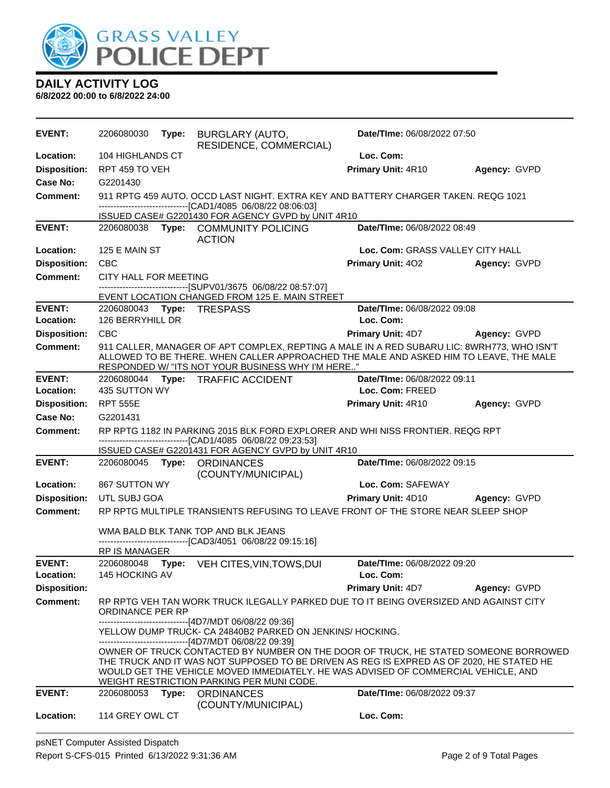

| <b>EVENT:</b>              | 2206080030                   | Type: | BURGLARY (AUTO,<br>RESIDENCE, COMMERCIAL)                                                                                                                                                                                                                                                                                                                                                                                                                                                      | Date/TIme: 06/08/2022 07:50              |                     |
|----------------------------|------------------------------|-------|------------------------------------------------------------------------------------------------------------------------------------------------------------------------------------------------------------------------------------------------------------------------------------------------------------------------------------------------------------------------------------------------------------------------------------------------------------------------------------------------|------------------------------------------|---------------------|
| Location:                  | 104 HIGHLANDS CT             |       |                                                                                                                                                                                                                                                                                                                                                                                                                                                                                                | Loc. Com:                                |                     |
| <b>Disposition:</b>        | RPT 459 TO VEH               |       |                                                                                                                                                                                                                                                                                                                                                                                                                                                                                                | Primary Unit: 4R10                       | Agency: GVPD        |
| Case No:                   | G2201430                     |       |                                                                                                                                                                                                                                                                                                                                                                                                                                                                                                |                                          |                     |
| <b>Comment:</b>            |                              |       | 911 RPTG 459 AUTO, OCCD LAST NIGHT, EXTRA KEY AND BATTERY CHARGER TAKEN, REQG 1021<br>-------------------------------[CAD1/4085 06/08/22 08:06:03]                                                                                                                                                                                                                                                                                                                                             |                                          |                     |
|                            |                              |       | ISSUED CASE# G2201430 FOR AGENCY GVPD by UNIT 4R10                                                                                                                                                                                                                                                                                                                                                                                                                                             |                                          |                     |
| <b>EVENT:</b>              |                              |       | 2206080038 Type: COMMUNITY POLICING<br><b>ACTION</b>                                                                                                                                                                                                                                                                                                                                                                                                                                           | Date/TIme: 06/08/2022 08:49              |                     |
| Location:                  | 125 E MAIN ST                |       |                                                                                                                                                                                                                                                                                                                                                                                                                                                                                                | Loc. Com: GRASS VALLEY CITY HALL         |                     |
| <b>Disposition:</b>        | <b>CBC</b>                   |       |                                                                                                                                                                                                                                                                                                                                                                                                                                                                                                | <b>Primary Unit: 402</b>                 | Agency: GVPD        |
| <b>Comment:</b>            | CITY HALL FOR MEETING        |       |                                                                                                                                                                                                                                                                                                                                                                                                                                                                                                |                                          |                     |
|                            |                              |       | -------------------------------[SUPV01/3675 06/08/22 08:57:07]<br>EVENT LOCATION CHANGED FROM 125 E. MAIN STREET                                                                                                                                                                                                                                                                                                                                                                               |                                          |                     |
| <b>EVENT:</b>              |                              |       | 2206080043    Type: TRESPASS                                                                                                                                                                                                                                                                                                                                                                                                                                                                   | Date/TIme: 06/08/2022 09:08              |                     |
| Location:                  | 126 BERRYHILL DR             |       |                                                                                                                                                                                                                                                                                                                                                                                                                                                                                                | Loc. Com:                                |                     |
| <b>Disposition:</b>        | <b>CBC</b>                   |       |                                                                                                                                                                                                                                                                                                                                                                                                                                                                                                | <b>Primary Unit: 4D7</b>                 | <b>Agency: GVPD</b> |
| <b>Comment:</b>            |                              |       | 911 CALLER, MANAGER OF APT COMPLEX, REPTING A MALE IN A RED SUBARU LIC: 8WRH773, WHO ISN'T<br>ALLOWED TO BE THERE. WHEN CALLER APPROACHED THE MALE AND ASKED HIM TO LEAVE, THE MALE<br>RESPONDED W/ "ITS NOT YOUR BUSINESS WHY I'M HERE"                                                                                                                                                                                                                                                       |                                          |                     |
| <b>EVENT:</b>              |                              |       | 2206080044 Type: TRAFFIC ACCIDENT                                                                                                                                                                                                                                                                                                                                                                                                                                                              | Date/TIme: 06/08/2022 09:11              |                     |
| Location:                  | 435 SUTTON WY                |       |                                                                                                                                                                                                                                                                                                                                                                                                                                                                                                | Loc. Com: FREED                          |                     |
| <b>Disposition:</b>        | <b>RPT 555E</b>              |       |                                                                                                                                                                                                                                                                                                                                                                                                                                                                                                | <b>Primary Unit: 4R10</b>                | Agency: GVPD        |
| Case No:                   | G2201431                     |       |                                                                                                                                                                                                                                                                                                                                                                                                                                                                                                |                                          |                     |
| <b>Comment:</b>            |                              |       | RP RPTG 1182 IN PARKING 2015 BLK FORD EXPLORER AND WHI NISS FRONTIER. REQG RPT<br>-------------------------------[CAD1/4085 06/08/22 09:23:53]<br>ISSUED CASE# G2201431 FOR AGENCY GVPD by UNIT 4R10                                                                                                                                                                                                                                                                                           |                                          |                     |
| <b>EVENT:</b>              |                              |       | 2206080045 Type: ORDINANCES                                                                                                                                                                                                                                                                                                                                                                                                                                                                    | Date/TIme: 06/08/2022 09:15              |                     |
| Location:                  | 867 SUTTON WY                |       | (COUNTY/MUNICIPAL)                                                                                                                                                                                                                                                                                                                                                                                                                                                                             | Loc. Com: SAFEWAY                        |                     |
| <b>Disposition:</b>        | UTL SUBJ GOA                 |       |                                                                                                                                                                                                                                                                                                                                                                                                                                                                                                | <b>Primary Unit: 4D10</b>                | Agency: GVPD        |
| <b>Comment:</b>            |                              |       | RP RPTG MULTIPLE TRANSIENTS REFUSING TO LEAVE FRONT OF THE STORE NEAR SLEEP SHOP                                                                                                                                                                                                                                                                                                                                                                                                               |                                          |                     |
|                            |                              |       | WMA BALD BLK TANK TOP AND BLK JEANS<br>-------------------------------[CAD3/4051_06/08/22 09:15:16]                                                                                                                                                                                                                                                                                                                                                                                            |                                          |                     |
|                            | RP IS MANAGER                |       |                                                                                                                                                                                                                                                                                                                                                                                                                                                                                                |                                          |                     |
| <b>EVENT:</b><br>Location: | 2206080048<br>145 HOCKING AV | Type: | VEH CITES, VIN, TOWS, DUI                                                                                                                                                                                                                                                                                                                                                                                                                                                                      | Date/TIme: 06/08/2022 09:20<br>Loc. Com: |                     |
| <b>Disposition:</b>        |                              |       |                                                                                                                                                                                                                                                                                                                                                                                                                                                                                                | <b>Primary Unit: 4D7</b>                 | Agency: GVPD        |
| <b>Comment:</b>            | ORDINANCE PER RP             |       | RP RPTG VEH TAN WORK TRUCK ILEGALLY PARKED DUE TO IT BEING OVERSIZED AND AGAINST CITY                                                                                                                                                                                                                                                                                                                                                                                                          |                                          |                     |
|                            |                              |       | ------------------------[4D7/MDT 06/08/22 09:36]<br>YELLOW DUMP TRUCK- CA 24840B2 PARKED ON JENKINS/ HOCKING.<br>-------------------------------[4D7/MDT 06/08/22 09:39]<br>OWNER OF TRUCK CONTACTED BY NUMBER ON THE DOOR OF TRUCK, HE STATED SOMEONE BORROWED<br>THE TRUCK AND IT WAS NOT SUPPOSED TO BE DRIVEN AS REG IS EXPRED AS OF 2020, HE STATED HE<br>WOULD GET THE VEHICLE MOVED IMMEDIATELY. HE WAS ADVISED OF COMMERCIAL VEHICLE, AND<br>WEIGHT RESTRICTION PARKING PER MUNI CODE. |                                          |                     |
| <b>EVENT:</b>              |                              | Type: | <b>ORDINANCES</b>                                                                                                                                                                                                                                                                                                                                                                                                                                                                              | Date/TIme: 06/08/2022 09:37              |                     |
|                            | 2206080053                   |       |                                                                                                                                                                                                                                                                                                                                                                                                                                                                                                |                                          |                     |
| Location:                  | 114 GREY OWL CT              |       | (COUNTY/MUNICIPAL)                                                                                                                                                                                                                                                                                                                                                                                                                                                                             | Loc. Com:                                |                     |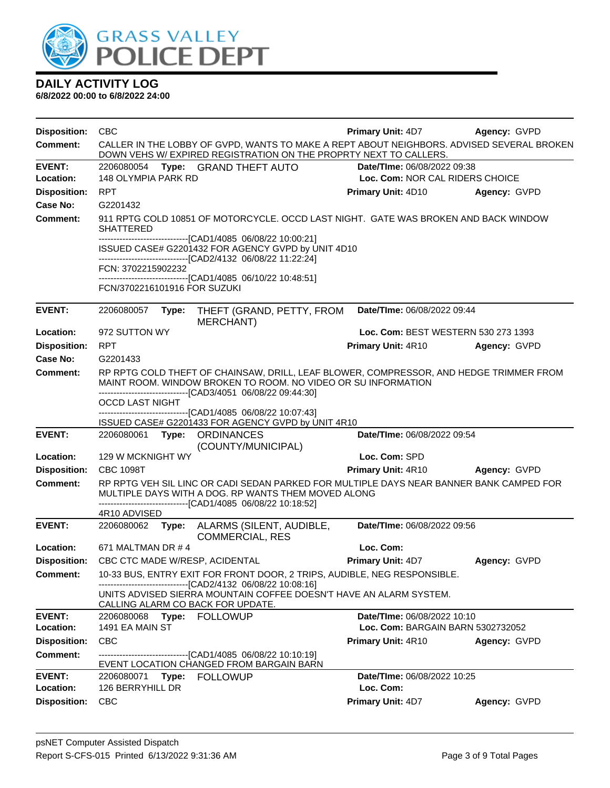

| <b>Disposition:</b>        | <b>CBC</b>                                                                                                                                                                                                              | <b>Primary Unit: 4D7</b>                                       | Agency: GVPD |  |  |
|----------------------------|-------------------------------------------------------------------------------------------------------------------------------------------------------------------------------------------------------------------------|----------------------------------------------------------------|--------------|--|--|
| Comment:                   | CALLER IN THE LOBBY OF GVPD, WANTS TO MAKE A REPT ABOUT NEIGHBORS. ADVISED SEVERAL BROKEN<br>DOWN VEHS W/ EXPIRED REGISTRATION ON THE PROPRTY NEXT TO CALLERS.                                                          |                                                                |              |  |  |
| <b>EVENT:</b><br>Location: | Type: GRAND THEFT AUTO<br>2206080054<br><b>148 OLYMPIA PARK RD</b>                                                                                                                                                      | Date/TIme: 06/08/2022 09:38<br>Loc. Com: NOR CAL RIDERS CHOICE |              |  |  |
| <b>Disposition:</b>        | <b>RPT</b>                                                                                                                                                                                                              | <b>Primary Unit: 4D10</b>                                      | Agency: GVPD |  |  |
| <b>Case No:</b>            | G2201432                                                                                                                                                                                                                |                                                                |              |  |  |
| Comment:                   | 911 RPTG COLD 10851 OF MOTORCYCLE, OCCD LAST NIGHT. GATE WAS BROKEN AND BACK WINDOW<br>SHATTERED                                                                                                                        |                                                                |              |  |  |
|                            | -------------------------------[CAD1/4085 06/08/22 10:00:21]<br>ISSUED CASE# G2201432 FOR AGENCY GVPD by UNIT 4D10<br>------------------------------[CAD2/4132_06/08/22 11:22:24]                                       |                                                                |              |  |  |
|                            | FCN: 3702215902232                                                                                                                                                                                                      |                                                                |              |  |  |
|                            | -------------------------------[CAD1/4085 06/10/22 10:48:51]<br>FCN/3702216101916 FOR SUZUKI                                                                                                                            |                                                                |              |  |  |
| <b>EVENT:</b>              | 2206080057<br>THEFT (GRAND, PETTY, FROM<br>Type:<br>MERCHANT)                                                                                                                                                           | Date/TIme: 06/08/2022 09:44                                    |              |  |  |
| Location:                  | 972 SUTTON WY                                                                                                                                                                                                           | Loc. Com: BEST WESTERN 530 273 1393                            |              |  |  |
| <b>Disposition:</b>        | <b>RPT</b>                                                                                                                                                                                                              | <b>Primary Unit: 4R10</b>                                      | Agency: GVPD |  |  |
| Case No:                   | G2201433                                                                                                                                                                                                                |                                                                |              |  |  |
| Comment:                   | RP RPTG COLD THEFT OF CHAINSAW, DRILL, LEAF BLOWER, COMPRESSOR, AND HEDGE TRIMMER FROM<br>MAINT ROOM, WINDOW BROKEN TO ROOM, NO VIDEO OR SU INFORMATION<br>-------------------------------[CAD3/4051 06/08/22 09:44:30] |                                                                |              |  |  |
|                            | <b>OCCD LAST NIGHT</b>                                                                                                                                                                                                  |                                                                |              |  |  |
|                            | -------------------------------[CAD1/4085 06/08/22 10:07:43]<br>ISSUED CASE# G2201433 FOR AGENCY GVPD by UNIT 4R10                                                                                                      |                                                                |              |  |  |
| <b>EVENT:</b>              | 2206080061<br>Type:<br><b>ORDINANCES</b><br>(COUNTY/MUNICIPAL)                                                                                                                                                          | Date/TIme: 06/08/2022 09:54                                    |              |  |  |
| Location:                  | 129 W MCKNIGHT WY                                                                                                                                                                                                       | Loc. Com: SPD                                                  |              |  |  |
| <b>Disposition:</b>        | <b>CBC 1098T</b>                                                                                                                                                                                                        | Primary Unit: 4R10                                             | Agency: GVPD |  |  |
| Comment:                   | RP RPTG VEH SIL LINC OR CADI SEDAN PARKED FOR MULTIPLE DAYS NEAR BANNER BANK CAMPED FOR<br>MULTIPLE DAYS WITH A DOG. RP WANTS THEM MOVED ALONG<br>-------------------------------[CAD1/4085 06/08/22 10:18:52]          |                                                                |              |  |  |
|                            | 4R10 ADVISED                                                                                                                                                                                                            |                                                                |              |  |  |
| <b>EVENT:</b>              | 2206080062<br>Type: ALARMS (SILENT, AUDIBLE,<br><b>COMMERCIAL, RES</b>                                                                                                                                                  | Date/TIme: 06/08/2022 09:56                                    |              |  |  |
| Location:                  | 671 MALTMAN DR # 4                                                                                                                                                                                                      | Loc. Com:                                                      |              |  |  |
| <b>Disposition:</b>        | CBC CTC MADE W/RESP, ACIDENTAL                                                                                                                                                                                          | Primary Unit: 4D7                                              | Agency: GVPD |  |  |
| <b>Comment:</b>            | 10-33 BUS, ENTRY EXIT FOR FRONT DOOR, 2 TRIPS, AUDIBLE, NEG RESPONSIBLE.<br>-----------------------[CAD2/4132 06/08/22 10:08:16]                                                                                        |                                                                |              |  |  |
|                            | UNITS ADVISED SIERRA MOUNTAIN COFFEE DOESN'T HAVE AN ALARM SYSTEM.<br>CALLING ALARM CO BACK FOR UPDATE.                                                                                                                 |                                                                |              |  |  |
| <b>EVENT:</b>              | 2206080068 Type: FOLLOWUP                                                                                                                                                                                               | Date/TIme: 06/08/2022 10:10                                    |              |  |  |
| Location:                  | 1491 EA MAIN ST                                                                                                                                                                                                         | Loc. Com: BARGAIN BARN 5302732052                              |              |  |  |
| <b>Disposition:</b>        | <b>CBC</b>                                                                                                                                                                                                              | Primary Unit: 4R10                                             | Agency: GVPD |  |  |
| <b>Comment:</b>            | -------------------------------[CAD1/4085 06/08/22 10:10:19]<br>EVENT LOCATION CHANGED FROM BARGAIN BARN                                                                                                                |                                                                |              |  |  |
| <b>EVENT:</b><br>Location: | 2206080071 Type: FOLLOWUP<br>126 BERRYHILL DR                                                                                                                                                                           | Date/TIme: 06/08/2022 10:25<br>Loc. Com:                       |              |  |  |
| <b>Disposition:</b>        | <b>CBC</b>                                                                                                                                                                                                              | Primary Unit: 4D7                                              | Agency: GVPD |  |  |
|                            |                                                                                                                                                                                                                         |                                                                |              |  |  |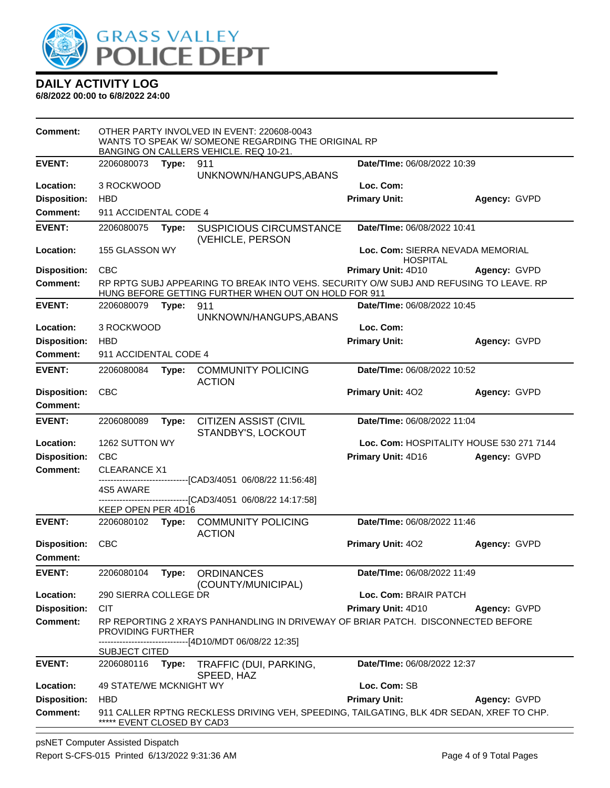

|                                        | OTHER PARTY INVOLVED IN EVENT: 220608-0043<br>WANTS TO SPEAK W/ SOMEONE REGARDING THE ORIGINAL RP<br>BANGING ON CALLERS VEHICLE. REQ 10-21. |       |                                                                                                                                                |                                                     |              |
|----------------------------------------|---------------------------------------------------------------------------------------------------------------------------------------------|-------|------------------------------------------------------------------------------------------------------------------------------------------------|-----------------------------------------------------|--------------|
| <b>EVENT:</b>                          | 2206080073                                                                                                                                  | Type: | 911<br>UNKNOWN/HANGUPS, ABANS                                                                                                                  | Date/TIme: 06/08/2022 10:39                         |              |
| Location:                              | 3 ROCKWOOD                                                                                                                                  |       |                                                                                                                                                | Loc. Com:                                           |              |
| <b>Disposition:</b>                    | <b>HBD</b>                                                                                                                                  |       |                                                                                                                                                | <b>Primary Unit:</b>                                | Agency: GVPD |
| <b>Comment:</b>                        | 911 ACCIDENTAL CODE 4                                                                                                                       |       |                                                                                                                                                |                                                     |              |
| <b>EVENT:</b>                          | 2206080075                                                                                                                                  | Type: | <b>SUSPICIOUS CIRCUMSTANCE</b><br>(VEHICLE, PERSON                                                                                             | Date/TIme: 06/08/2022 10:41                         |              |
| Location:                              | 155 GLASSON WY                                                                                                                              |       |                                                                                                                                                | Loc. Com: SIERRA NEVADA MEMORIAL<br><b>HOSPITAL</b> |              |
| <b>Disposition:</b>                    | CBC                                                                                                                                         |       |                                                                                                                                                | <b>Primary Unit: 4D10</b>                           | Agency: GVPD |
| <b>Comment:</b>                        |                                                                                                                                             |       | RP RPTG SUBJ APPEARING TO BREAK INTO VEHS. SECURITY O/W SUBJ AND REFUSING TO LEAVE. RP<br>HUNG BEFORE GETTING FURTHER WHEN OUT ON HOLD FOR 911 |                                                     |              |
| <b>EVENT:</b>                          | 2206080079                                                                                                                                  | Type: | 911<br>UNKNOWN/HANGUPS, ABANS                                                                                                                  | Date/TIme: 06/08/2022 10:45                         |              |
| Location:                              | 3 ROCKWOOD                                                                                                                                  |       |                                                                                                                                                | Loc. Com:                                           |              |
| <b>Disposition:</b>                    | <b>HBD</b>                                                                                                                                  |       |                                                                                                                                                | <b>Primary Unit:</b>                                | Agency: GVPD |
| Comment:                               | 911 ACCIDENTAL CODE 4                                                                                                                       |       |                                                                                                                                                |                                                     |              |
| <b>EVENT:</b>                          | 2206080084                                                                                                                                  | Type: | <b>COMMUNITY POLICING</b><br><b>ACTION</b>                                                                                                     | Date/TIme: 06/08/2022 10:52                         |              |
| <b>Disposition:</b><br>Comment:        | <b>CBC</b>                                                                                                                                  |       |                                                                                                                                                | Primary Unit: 402                                   | Agency: GVPD |
| <b>EVENT:</b>                          | 2206080089                                                                                                                                  | Type: | <b>CITIZEN ASSIST (CIVIL</b><br>STANDBY'S, LOCKOUT                                                                                             | Date/TIme: 06/08/2022 11:04                         |              |
| Location:                              | 1262 SUTTON WY                                                                                                                              |       |                                                                                                                                                | Loc. Com: HOSPITALITY HOUSE 530 271 7144            |              |
| <b>Disposition:</b>                    | <b>CBC</b>                                                                                                                                  |       |                                                                                                                                                | Primary Unit: 4D16                                  | Agency: GVPD |
| <b>Comment:</b>                        | <b>CLEARANCE X1</b>                                                                                                                         |       |                                                                                                                                                |                                                     |              |
|                                        | 4S5 AWARE                                                                                                                                   |       | --------------------------[CAD3/4051_06/08/22 11:56:48]<br>-------------------------------[CAD3/4051_06/08/22 14:17:58]                        |                                                     |              |
|                                        | KEEP OPEN PER 4D16                                                                                                                          |       |                                                                                                                                                |                                                     |              |
| <b>EVENT:</b>                          | 2206080102                                                                                                                                  | Type: | <b>COMMUNITY POLICING</b><br><b>ACTION</b>                                                                                                     | Date/TIme: 06/08/2022 11:46                         |              |
| <b>Disposition:</b><br><b>Comment:</b> | <b>CBC</b>                                                                                                                                  |       |                                                                                                                                                | Primary Unit: 402                                   | Agency: GVPD |
| <b>EVENT:</b>                          | 2206080104                                                                                                                                  | Type: | <b>ORDINANCES</b><br>(COUNTY/MUNICIPAL)                                                                                                        | Date/TIme: 06/08/2022 11:49                         |              |
| Location:                              | 290 SIERRA COLLEGE DR                                                                                                                       |       |                                                                                                                                                | Loc. Com: BRAIR PATCH                               |              |
| <b>Disposition:</b>                    | <b>CIT</b>                                                                                                                                  |       |                                                                                                                                                | Primary Unit: 4D10                                  | Agency: GVPD |
| <b>Comment:</b>                        | PROVIDING FURTHER                                                                                                                           |       | RP REPORTING 2 XRAYS PANHANDLING IN DRIVEWAY OF BRIAR PATCH. DISCONNECTED BEFORE<br>-------------------------[4D10/MDT 06/08/22 12:35]         |                                                     |              |
|                                        | SUBJECT CITED                                                                                                                               |       |                                                                                                                                                |                                                     |              |
| <b>EVENT:</b>                          | 2206080116                                                                                                                                  | Type: | TRAFFIC (DUI, PARKING,<br>SPEED, HAZ                                                                                                           | Date/TIme: 06/08/2022 12:37                         |              |
| Location:                              | <b>49 STATE/WE MCKNIGHT WY</b>                                                                                                              |       |                                                                                                                                                | Loc. Com: SB                                        |              |
| <b>Disposition:</b><br><b>Comment:</b> | <b>HBD</b><br>***** EVENT CLOSED BY CAD3                                                                                                    |       | 911 CALLER RPTNG RECKLESS DRIVING VEH, SPEEDING, TAILGATING, BLK 4DR SEDAN, XREF TO CHP.                                                       | <b>Primary Unit:</b>                                | Agency: GVPD |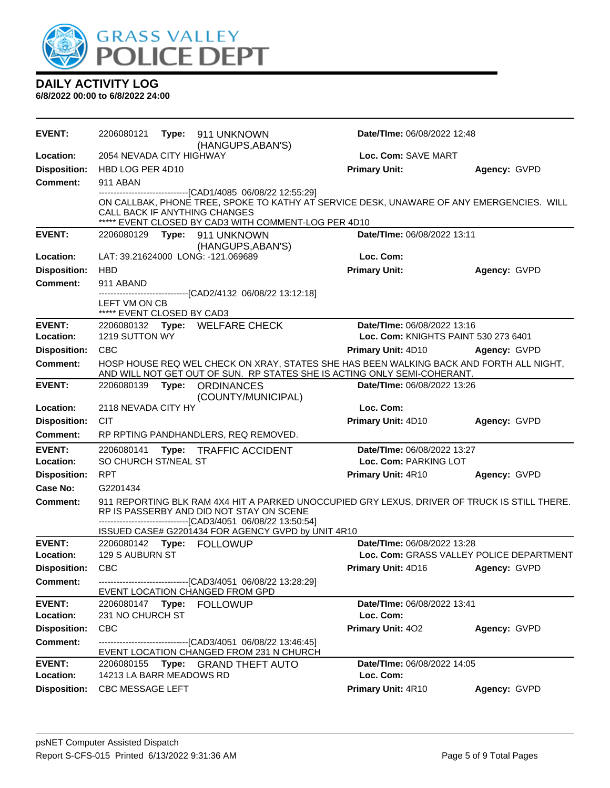

| <b>EVENT:</b>       | 2206080121                                  | Type: 911 UNKNOWN<br>(HANGUPS, ABAN'S)                                                                                                                            | Date/TIme: 06/08/2022 12:48                                                                                                                                         |                                                                                              |
|---------------------|---------------------------------------------|-------------------------------------------------------------------------------------------------------------------------------------------------------------------|---------------------------------------------------------------------------------------------------------------------------------------------------------------------|----------------------------------------------------------------------------------------------|
| Location:           | 2054 NEVADA CITY HIGHWAY                    |                                                                                                                                                                   | Loc. Com: SAVE MART                                                                                                                                                 |                                                                                              |
| <b>Disposition:</b> | HBD LOG PER 4D10                            |                                                                                                                                                                   | <b>Primary Unit:</b>                                                                                                                                                | Agency: GVPD                                                                                 |
| <b>Comment:</b>     | 911 ABAN                                    |                                                                                                                                                                   |                                                                                                                                                                     |                                                                                              |
|                     |                                             | -------------------------------[CAD1/4085 06/08/22 12:55:29]<br>CALL BACK IF ANYTHING CHANGES<br>***** EVENT CLOSED BY CAD3 WITH COMMENT-LOG PER 4D10             |                                                                                                                                                                     | ON CALLBAK, PHONE TREE, SPOKE TO KATHY AT SERVICE DESK, UNAWARE OF ANY EMERGENCIES. WILL     |
| <b>EVENT:</b>       |                                             | 2206080129 Type: 911 UNKNOWN<br>(HANGUPS, ABAN'S)                                                                                                                 | Date/TIme: 06/08/2022 13:11                                                                                                                                         |                                                                                              |
| Location:           |                                             | LAT: 39.21624000 LONG: -121.069689                                                                                                                                | Loc. Com:                                                                                                                                                           |                                                                                              |
| <b>Disposition:</b> | <b>HBD</b>                                  |                                                                                                                                                                   | <b>Primary Unit:</b>                                                                                                                                                | Agency: GVPD                                                                                 |
| <b>Comment:</b>     | 911 ABAND                                   |                                                                                                                                                                   |                                                                                                                                                                     |                                                                                              |
|                     | LEFT VM ON CB<br>***** EVENT CLOSED BY CAD3 | -----------------------[CAD2/4132_06/08/22_13:12:18]                                                                                                              |                                                                                                                                                                     |                                                                                              |
| <b>EVENT:</b>       |                                             | 2206080132 Type: WELFARE CHECK                                                                                                                                    | Date/TIme: 06/08/2022 13:16                                                                                                                                         |                                                                                              |
| Location:           | 1219 SUTTON WY                              |                                                                                                                                                                   |                                                                                                                                                                     | Loc. Com: KNIGHTS PAINT 530 273 6401                                                         |
| <b>Disposition:</b> | <b>CBC</b>                                  |                                                                                                                                                                   | <b>Primary Unit: 4D10</b>                                                                                                                                           | Agency: GVPD                                                                                 |
| <b>Comment:</b>     |                                             |                                                                                                                                                                   | HOSP HOUSE REQ WEL CHECK ON XRAY, STATES SHE HAS BEEN WALKING BACK AND FORTH ALL NIGHT,<br>AND WILL NOT GET OUT OF SUN. RP STATES SHE IS ACTING ONLY SEMI-COHERANT. |                                                                                              |
| <b>EVENT:</b>       | 2206080139                                  | Type: ORDINANCES<br>(COUNTY/MUNICIPAL)                                                                                                                            | Date/TIme: 06/08/2022 13:26                                                                                                                                         |                                                                                              |
| Location:           | 2118 NEVADA CITY HY                         |                                                                                                                                                                   | Loc. Com:                                                                                                                                                           |                                                                                              |
| <b>Disposition:</b> | <b>CIT</b>                                  |                                                                                                                                                                   | Primary Unit: 4D10                                                                                                                                                  | Agency: GVPD                                                                                 |
| <b>Comment:</b>     |                                             | RP RPTING PANDHANDLERS, REQ REMOVED.                                                                                                                              |                                                                                                                                                                     |                                                                                              |
| <b>EVENT:</b>       | 2206080141                                  | Type: TRAFFIC ACCIDENT                                                                                                                                            | Date/TIme: 06/08/2022 13:27                                                                                                                                         |                                                                                              |
| Location:           | SO CHURCH ST/NEAL ST                        |                                                                                                                                                                   | Loc. Com: PARKING LOT                                                                                                                                               |                                                                                              |
| <b>Disposition:</b> | <b>RPT</b>                                  |                                                                                                                                                                   | Primary Unit: 4R10                                                                                                                                                  | Agency: GVPD                                                                                 |
| Case No:            | G2201434                                    |                                                                                                                                                                   |                                                                                                                                                                     |                                                                                              |
| <b>Comment:</b>     |                                             | RP IS PASSERBY AND DID NOT STAY ON SCENE<br>----------------------------------[CAD3/4051 06/08/22 13:50:54]<br>ISSUED CASE# G2201434 FOR AGENCY GVPD by UNIT 4R10 |                                                                                                                                                                     | 911 REPORTING BLK RAM 4X4 HIT A PARKED UNOCCUPIED GRY LEXUS, DRIVER OF TRUCK IS STILL THERE. |
| <b>EVENT:</b>       |                                             | 2206080142 Type: FOLLOWUP                                                                                                                                         | Date/TIme: 06/08/2022 13:28                                                                                                                                         |                                                                                              |
| Location:           | 129 S AUBURN ST                             |                                                                                                                                                                   |                                                                                                                                                                     | Loc. Com: GRASS VALLEY POLICE DEPARTMENT                                                     |
| Disposition: CBC    |                                             |                                                                                                                                                                   |                                                                                                                                                                     | Primary Unit: 4D16 Agency: GVPD                                                              |
| Comment:            |                                             | -------------------------------[CAD3/4051 06/08/22 13:28:29]                                                                                                      |                                                                                                                                                                     |                                                                                              |
|                     |                                             | EVENT LOCATION CHANGED FROM GPD                                                                                                                                   |                                                                                                                                                                     |                                                                                              |
| <b>EVENT:</b>       |                                             |                                                                                                                                                                   | Date/TIme: 06/08/2022 13:41                                                                                                                                         |                                                                                              |
| Location:           | 231 NO CHURCH ST                            |                                                                                                                                                                   | Loc. Com:                                                                                                                                                           |                                                                                              |
| <b>Disposition:</b> | <b>CBC</b>                                  |                                                                                                                                                                   | <b>Primary Unit: 402</b>                                                                                                                                            | Agency: GVPD                                                                                 |
| <b>Comment:</b>     |                                             | ------------------------------[CAD3/4051_06/08/22 13:46:45]<br>EVENT LOCATION CHANGED FROM 231 N CHURCH                                                           |                                                                                                                                                                     |                                                                                              |
| <b>EVENT:</b>       |                                             | 2206080155 Type: GRAND THEFT AUTO                                                                                                                                 | Date/TIme: 06/08/2022 14:05                                                                                                                                         |                                                                                              |
| Location:           | 14213 LA BARR MEADOWS RD                    |                                                                                                                                                                   | Loc. Com:                                                                                                                                                           |                                                                                              |
| <b>Disposition:</b> | CBC MESSAGE LEFT                            |                                                                                                                                                                   | Primary Unit: 4R10                                                                                                                                                  | Agency: GVPD                                                                                 |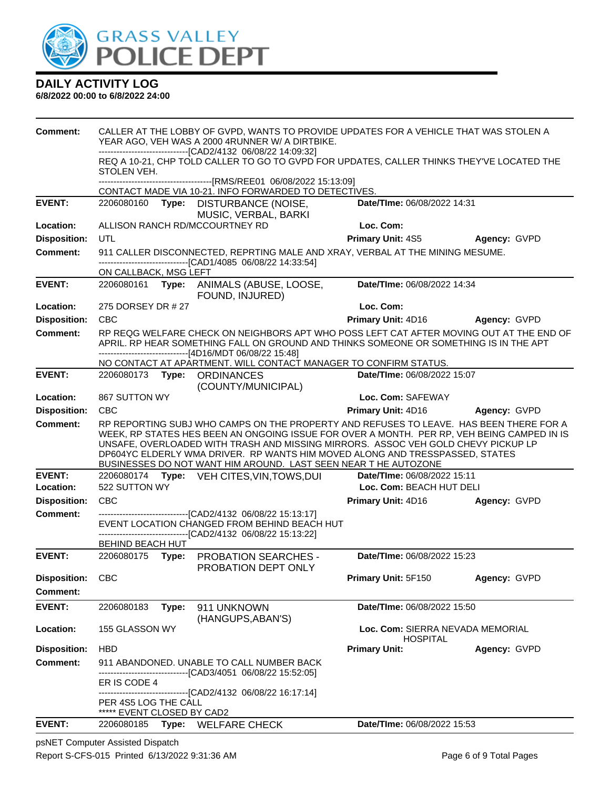

#### **6/8/2022 00:00 to 6/8/2022 24:00**

| Comment:            |                                                    |       | CALLER AT THE LOBBY OF GVPD, WANTS TO PROVIDE UPDATES FOR A VEHICLE THAT WAS STOLEN A<br>YEAR AGO, VEH WAS A 2000 4RUNNER W/ A DIRTBIKE.<br>-------------------------------[CAD2/4132 06/08/22 14:09:32]                                                                                                                                                                                                                    |                                                     |                     |
|---------------------|----------------------------------------------------|-------|-----------------------------------------------------------------------------------------------------------------------------------------------------------------------------------------------------------------------------------------------------------------------------------------------------------------------------------------------------------------------------------------------------------------------------|-----------------------------------------------------|---------------------|
|                     | STOLEN VEH.                                        |       | REQ A 10-21, CHP TOLD CALLER TO GO TO GVPD FOR UPDATES, CALLER THINKS THEY'VE LOCATED THE                                                                                                                                                                                                                                                                                                                                   |                                                     |                     |
|                     |                                                    |       |                                                                                                                                                                                                                                                                                                                                                                                                                             |                                                     |                     |
| <b>EVENT:</b>       | 2206080160 Type:                                   |       | CONTACT MADE VIA 10-21. INFO FORWARDED TO DETECTIVES.<br>DISTURBANCE (NOISE,                                                                                                                                                                                                                                                                                                                                                | Date/TIme: 06/08/2022 14:31                         |                     |
|                     |                                                    |       | MUSIC, VERBAL, BARKI                                                                                                                                                                                                                                                                                                                                                                                                        |                                                     |                     |
| Location:           |                                                    |       | ALLISON RANCH RD/MCCOURTNEY RD                                                                                                                                                                                                                                                                                                                                                                                              | Loc. Com:                                           |                     |
| <b>Disposition:</b> | <b>UTL</b>                                         |       |                                                                                                                                                                                                                                                                                                                                                                                                                             | <b>Primary Unit: 4S5</b>                            | <b>Agency: GVPD</b> |
| <b>Comment:</b>     |                                                    |       | 911 CALLER DISCONNECTED, REPRTING MALE AND XRAY, VERBAL AT THE MINING MESUME.                                                                                                                                                                                                                                                                                                                                               |                                                     |                     |
|                     | ON CALLBACK, MSG LEFT                              |       | -------------------------------[CAD1/4085 06/08/22 14:33:54]                                                                                                                                                                                                                                                                                                                                                                |                                                     |                     |
| <b>EVENT:</b>       |                                                    |       | 2206080161 Type: ANIMALS (ABUSE, LOOSE,<br>FOUND, INJURED)                                                                                                                                                                                                                                                                                                                                                                  | Date/TIme: 06/08/2022 14:34                         |                     |
| Location:           | 275 DORSEY DR # 27                                 |       |                                                                                                                                                                                                                                                                                                                                                                                                                             | Loc. Com:                                           |                     |
| <b>Disposition:</b> | <b>CBC</b>                                         |       |                                                                                                                                                                                                                                                                                                                                                                                                                             | Primary Unit: 4D16                                  | Agency: GVPD        |
| <b>Comment:</b>     |                                                    |       | RP REQG WELFARE CHECK ON NEIGHBORS APT WHO POSS LEFT CAT AFTER MOVING OUT AT THE END OF<br>APRIL. RP HEAR SOMETHING FALL ON GROUND AND THINKS SOMEONE OR SOMETHING IS IN THE APT                                                                                                                                                                                                                                            |                                                     |                     |
|                     |                                                    |       | ------------------------------[4D16/MDT 06/08/22 15:48]<br>NO CONTACT AT APARTMENT. WILL CONTACT MANAGER TO CONFIRM STATUS.                                                                                                                                                                                                                                                                                                 |                                                     |                     |
| <b>EVENT:</b>       |                                                    |       | 2206080173 Type: ORDINANCES                                                                                                                                                                                                                                                                                                                                                                                                 | Date/TIme: 06/08/2022 15:07                         |                     |
|                     |                                                    |       | (COUNTY/MUNICIPAL)                                                                                                                                                                                                                                                                                                                                                                                                          |                                                     |                     |
| Location:           | 867 SUTTON WY                                      |       |                                                                                                                                                                                                                                                                                                                                                                                                                             | Loc. Com: SAFEWAY                                   |                     |
| <b>Disposition:</b> | <b>CBC</b>                                         |       |                                                                                                                                                                                                                                                                                                                                                                                                                             | Primary Unit: 4D16 Agency: GVPD                     |                     |
| <b>Comment:</b>     |                                                    |       | RP REPORTING SUBJ WHO CAMPS ON THE PROPERTY AND REFUSES TO LEAVE. HAS BEEN THERE FOR A<br>WEEK, RP STATES HES BEEN AN ONGOING ISSUE FOR OVER A MONTH. PER RP, VEH BEING CAMPED IN IS<br>UNSAFE, OVERLOADED WITH TRASH AND MISSING MIRRORS. ASSOC VEH GOLD CHEVY PICKUP LP<br>DP604YC ELDERLY WMA DRIVER. RP WANTS HIM MOVED ALONG AND TRESSPASSED, STATES<br>BUSINESSES DO NOT WANT HIM AROUND. LAST SEEN NEAR THE AUTOZONE |                                                     |                     |
| <b>EVENT:</b>       |                                                    |       | 2206080174 Type: VEH CITES, VIN, TOWS, DUI                                                                                                                                                                                                                                                                                                                                                                                  | Date/TIme: 06/08/2022 15:11                         |                     |
| Location:           | 522 SUTTON WY                                      |       |                                                                                                                                                                                                                                                                                                                                                                                                                             | Loc. Com: BEACH HUT DELI                            |                     |
| <b>Disposition:</b> | <b>CBC</b>                                         |       |                                                                                                                                                                                                                                                                                                                                                                                                                             | Primary Unit: 4D16                                  | Agency: GVPD        |
| <b>Comment:</b>     |                                                    |       | ----------------------------------[CAD2/4132 06/08/22 15:13:17]<br>EVENT LOCATION CHANGED FROM BEHIND BEACH HUT<br>------------------------------[CAD2/4132 06/08/22 15:13:22]                                                                                                                                                                                                                                              |                                                     |                     |
|                     | BEHIND BEACH HUT                                   |       |                                                                                                                                                                                                                                                                                                                                                                                                                             |                                                     |                     |
| <b>EVENT:</b>       | 2206080175 Type:                                   |       | <b>PROBATION SEARCHES -</b><br>PROBATION DEPT ONLY                                                                                                                                                                                                                                                                                                                                                                          | Date/TIme: 06/08/2022 15:23                         |                     |
| <b>Disposition:</b> | <b>CBC</b>                                         |       |                                                                                                                                                                                                                                                                                                                                                                                                                             | Primary Unit: 5F150                                 | Agency: GVPD        |
| <b>Comment:</b>     |                                                    |       |                                                                                                                                                                                                                                                                                                                                                                                                                             |                                                     |                     |
| <b>EVENT:</b>       | 2206080183                                         | Type: | 911 UNKNOWN<br>(HANGUPS, ABAN'S)                                                                                                                                                                                                                                                                                                                                                                                            | Date/TIme: 06/08/2022 15:50                         |                     |
| Location:           | 155 GLASSON WY                                     |       |                                                                                                                                                                                                                                                                                                                                                                                                                             | Loc. Com: SIERRA NEVADA MEMORIAL<br><b>HOSPITAL</b> |                     |
| <b>Disposition:</b> | <b>HBD</b>                                         |       |                                                                                                                                                                                                                                                                                                                                                                                                                             | <b>Primary Unit:</b>                                | Agency: GVPD        |
| <b>Comment:</b>     |                                                    |       | 911 ABANDONED. UNABLE TO CALL NUMBER BACK<br>--------[CAD3/4051_06/08/22 15:52:05]                                                                                                                                                                                                                                                                                                                                          |                                                     |                     |
|                     | ER IS CODE 4                                       |       |                                                                                                                                                                                                                                                                                                                                                                                                                             |                                                     |                     |
|                     | PER 4S5 LOG THE CALL<br>***** EVENT CLOSED BY CAD2 |       | ------------------------------[CAD2/4132 06/08/22 16:17:14]                                                                                                                                                                                                                                                                                                                                                                 |                                                     |                     |
| <b>EVENT:</b>       | 2206080185                                         |       | Type: WELFARE CHECK                                                                                                                                                                                                                                                                                                                                                                                                         | Date/TIme: 06/08/2022 15:53                         |                     |

psNET Computer Assisted Dispatch Report S-CFS-015 Printed 6/13/2022 9:31:36 AM Page 6 of 9 Total Pages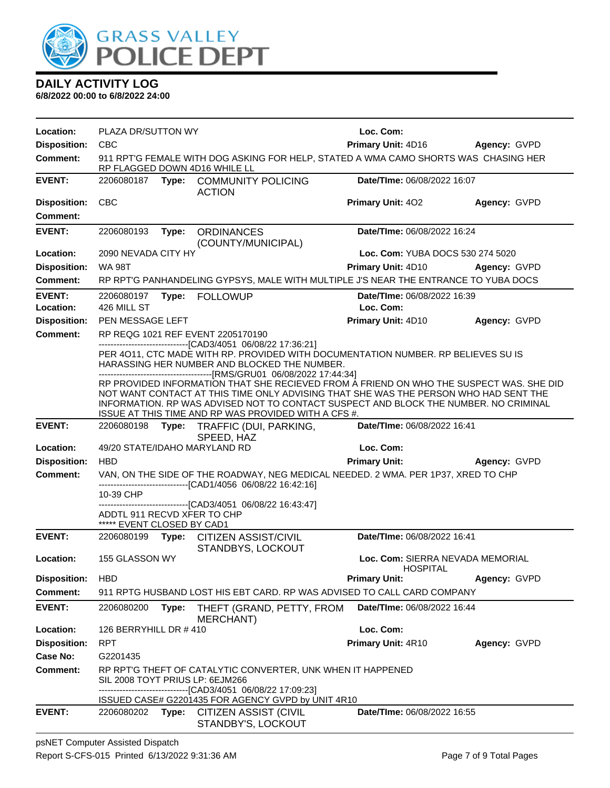

| Location:                  | PLAZA DR/SUTTON WY                                                                                                   |       |                                                                                                                                                                                                                                                                                                                                 | Loc. Com:                                           |              |
|----------------------------|----------------------------------------------------------------------------------------------------------------------|-------|---------------------------------------------------------------------------------------------------------------------------------------------------------------------------------------------------------------------------------------------------------------------------------------------------------------------------------|-----------------------------------------------------|--------------|
| <b>Disposition:</b>        | <b>CBC</b>                                                                                                           |       |                                                                                                                                                                                                                                                                                                                                 | Primary Unit: 4D16                                  | Agency: GVPD |
| Comment:                   | 911 RPT'G FEMALE WITH DOG ASKING FOR HELP, STATED A WMA CAMO SHORTS WAS CHASING HER<br>RP FLAGGED DOWN 4D16 WHILE LL |       |                                                                                                                                                                                                                                                                                                                                 |                                                     |              |
| <b>EVENT:</b>              |                                                                                                                      |       | 2206080187 Type: COMMUNITY POLICING<br><b>ACTION</b>                                                                                                                                                                                                                                                                            | Date/TIme: 06/08/2022 16:07                         |              |
| <b>Disposition:</b>        | <b>CBC</b>                                                                                                           |       |                                                                                                                                                                                                                                                                                                                                 | <b>Primary Unit: 402</b>                            | Agency: GVPD |
| <b>Comment:</b>            |                                                                                                                      |       |                                                                                                                                                                                                                                                                                                                                 |                                                     |              |
| <b>EVENT:</b>              | 2206080193                                                                                                           | Type: | <b>ORDINANCES</b><br>(COUNTY/MUNICIPAL)                                                                                                                                                                                                                                                                                         | Date/TIme: 06/08/2022 16:24                         |              |
| Location:                  | 2090 NEVADA CITY HY                                                                                                  |       |                                                                                                                                                                                                                                                                                                                                 | Loc. Com: YUBA DOCS 530 274 5020                    |              |
| <b>Disposition:</b>        | <b>WA 98T</b>                                                                                                        |       |                                                                                                                                                                                                                                                                                                                                 | Primary Unit: 4D10                                  | Agency: GVPD |
| <b>Comment:</b>            |                                                                                                                      |       | RP RPT'G PANHANDELING GYPSYS, MALE WITH MULTIPLE J'S NEAR THE ENTRANCE TO YUBA DOCS                                                                                                                                                                                                                                             |                                                     |              |
| <b>EVENT:</b><br>Location: | 2206080197<br>426 MILL ST                                                                                            |       | Type: FOLLOWUP                                                                                                                                                                                                                                                                                                                  | Date/TIme: 06/08/2022 16:39<br>Loc. Com:            |              |
| <b>Disposition:</b>        | PEN MESSAGE LEFT                                                                                                     |       |                                                                                                                                                                                                                                                                                                                                 | Primary Unit: 4D10                                  | Agency: GVPD |
| <b>Comment:</b>            |                                                                                                                      |       | RP REQG 1021 REF EVENT 2205170190                                                                                                                                                                                                                                                                                               |                                                     |              |
|                            |                                                                                                                      |       | -------------------------------[CAD3/4051 06/08/22 17:36:21]<br>PER 4011, CTC MADE WITH RP. PROVIDED WITH DOCUMENTATION NUMBER. RP BELIEVES SU IS<br>HARASSING HER NUMBER AND BLOCKED THE NUMBER.                                                                                                                               |                                                     |              |
|                            |                                                                                                                      |       | RP PROVIDED INFORMATION THAT SHE RECIEVED FROM A FRIEND ON WHO THE SUSPECT WAS. SHE DID<br>NOT WANT CONTACT AT THIS TIME ONLY ADVISING THAT SHE WAS THE PERSON WHO HAD SENT THE<br>INFORMATION. RP WAS ADVISED NOT TO CONTACT SUSPECT AND BLOCK THE NUMBER. NO CRIMINAL<br>ISSUE AT THIS TIME AND RP WAS PROVIDED WITH A CFS #. |                                                     |              |
| <b>EVENT:</b>              | 2206080198                                                                                                           | Type: | TRAFFIC (DUI, PARKING,                                                                                                                                                                                                                                                                                                          | Date/TIme: 06/08/2022 16:41                         |              |
| Location:                  |                                                                                                                      |       | SPEED, HAZ<br>49/20 STATE/IDAHO MARYLAND RD                                                                                                                                                                                                                                                                                     | Loc. Com:                                           |              |
| <b>Disposition:</b>        | <b>HBD</b>                                                                                                           |       |                                                                                                                                                                                                                                                                                                                                 | <b>Primary Unit:</b>                                | Agency: GVPD |
| <b>Comment:</b>            |                                                                                                                      |       | VAN, ON THE SIDE OF THE ROADWAY, NEG MEDICAL NEEDED. 2 WMA. PER 1P37, XRED TO CHP<br>-------------------------------[CAD1/4056 06/08/22 16:42:16]                                                                                                                                                                               |                                                     |              |
|                            | 10-39 CHP                                                                                                            |       |                                                                                                                                                                                                                                                                                                                                 |                                                     |              |
|                            | ADDTL 911 RECVD XFER TO CHP<br>***** EVENT CLOSED BY CAD1                                                            |       | -------------------------------[CAD3/4051 06/08/22 16:43:47]                                                                                                                                                                                                                                                                    |                                                     |              |
| <b>EVENT:</b>              |                                                                                                                      |       | 2206080199 Type: CITIZEN ASSIST/CIVIL                                                                                                                                                                                                                                                                                           | Date/TIme: 06/08/2022 16:41                         |              |
| Location:                  | 155 GLASSON WY                                                                                                       |       | STANDBYS, LOCKOUT                                                                                                                                                                                                                                                                                                               | Loc. Com: SIERRA NEVADA MEMORIAL<br><b>HOSPITAL</b> |              |
| <b>Disposition:</b>        | <b>HBD</b>                                                                                                           |       |                                                                                                                                                                                                                                                                                                                                 | <b>Primary Unit:</b>                                | Agency: GVPD |
| <b>Comment:</b>            |                                                                                                                      |       | 911 RPTG HUSBAND LOST HIS EBT CARD. RP WAS ADVISED TO CALL CARD COMPANY                                                                                                                                                                                                                                                         |                                                     |              |
| <b>EVENT:</b>              | 2206080200                                                                                                           | Type: | THEFT (GRAND, PETTY, FROM<br>MERCHANT)                                                                                                                                                                                                                                                                                          | Date/TIme: 06/08/2022 16:44                         |              |
| Location:                  | 126 BERRYHILL DR # 410                                                                                               |       |                                                                                                                                                                                                                                                                                                                                 | Loc. Com:                                           |              |
| <b>Disposition:</b>        | <b>RPT</b>                                                                                                           |       |                                                                                                                                                                                                                                                                                                                                 | Primary Unit: 4R10                                  | Agency: GVPD |
| Case No:                   | G2201435                                                                                                             |       |                                                                                                                                                                                                                                                                                                                                 |                                                     |              |
| <b>Comment:</b>            | SIL 2008 TOYT PRIUS LP: 6EJM266                                                                                      |       | RP RPT'G THEFT OF CATALYTIC CONVERTER, UNK WHEN IT HAPPENED<br>-----------------[CAD3/4051 06/08/22 17:09:23]                                                                                                                                                                                                                   |                                                     |              |
|                            |                                                                                                                      |       | ISSUED CASE# G2201435 FOR AGENCY GVPD by UNIT 4R10                                                                                                                                                                                                                                                                              |                                                     |              |
| <b>EVENT:</b>              | 2206080202                                                                                                           |       | Type: CITIZEN ASSIST (CIVIL<br>STANDBY'S, LOCKOUT                                                                                                                                                                                                                                                                               | Date/TIme: 06/08/2022 16:55                         |              |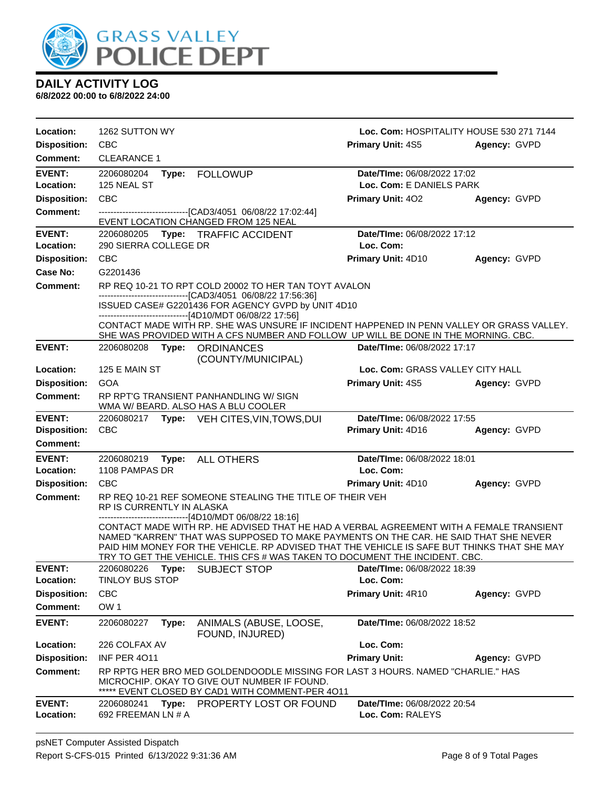

| Location:                  | 1262 SUTTON WY                        |                                                                                                                                                                                                                                                                                                                                                                                                                             | Loc. Com: HOSPITALITY HOUSE 530 271 7144 |              |
|----------------------------|---------------------------------------|-----------------------------------------------------------------------------------------------------------------------------------------------------------------------------------------------------------------------------------------------------------------------------------------------------------------------------------------------------------------------------------------------------------------------------|------------------------------------------|--------------|
| <b>Disposition:</b>        | <b>CBC</b>                            |                                                                                                                                                                                                                                                                                                                                                                                                                             | <b>Primary Unit: 4S5</b>                 | Agency: GVPD |
| Comment:                   | <b>CLEARANCE 1</b>                    |                                                                                                                                                                                                                                                                                                                                                                                                                             |                                          |              |
| <b>EVENT:</b>              | 2206080204                            | Type: FOLLOWUP                                                                                                                                                                                                                                                                                                                                                                                                              | Date/TIme: 06/08/2022 17:02              |              |
| Location:                  | 125 NEAL ST                           |                                                                                                                                                                                                                                                                                                                                                                                                                             | Loc. Com: E DANIELS PARK                 |              |
| <b>Disposition:</b>        | <b>CBC</b>                            |                                                                                                                                                                                                                                                                                                                                                                                                                             | Primary Unit: 402                        | Agency: GVPD |
| <b>Comment:</b>            |                                       | -------------------------------[CAD3/4051 06/08/22 17:02:44]<br>EVENT LOCATION CHANGED FROM 125 NEAL                                                                                                                                                                                                                                                                                                                        |                                          |              |
| <b>EVENT:</b><br>Location: | 290 SIERRA COLLEGE DR                 | 2206080205 Type: TRAFFIC ACCIDENT                                                                                                                                                                                                                                                                                                                                                                                           | Date/TIme: 06/08/2022 17:12<br>Loc. Com: |              |
| <b>Disposition:</b>        | <b>CBC</b>                            |                                                                                                                                                                                                                                                                                                                                                                                                                             | Primary Unit: 4D10                       | Agency: GVPD |
| <b>Case No:</b>            | G2201436                              |                                                                                                                                                                                                                                                                                                                                                                                                                             |                                          |              |
| <b>Comment:</b>            |                                       | RP REQ 10-21 TO RPT COLD 20002 TO HER TAN TOYT AVALON                                                                                                                                                                                                                                                                                                                                                                       |                                          |              |
|                            |                                       | -------------------------------[CAD3/4051 06/08/22 17:56:36]<br>ISSUED CASE# G2201436 FOR AGENCY GVPD by UNIT 4D10                                                                                                                                                                                                                                                                                                          |                                          |              |
|                            |                                       | --------------------------------[4D10/MDT 06/08/22 17:56]<br>CONTACT MADE WITH RP. SHE WAS UNSURE IF INCIDENT HAPPENED IN PENN VALLEY OR GRASS VALLEY.                                                                                                                                                                                                                                                                      |                                          |              |
|                            |                                       | SHE WAS PROVIDED WITH A CFS NUMBER AND FOLLOW UP WILL BE DONE IN THE MORNING. CBC.                                                                                                                                                                                                                                                                                                                                          |                                          |              |
| <b>EVENT:</b>              | 2206080208                            | Type: ORDINANCES                                                                                                                                                                                                                                                                                                                                                                                                            | Date/TIme: 06/08/2022 17:17              |              |
| Location:                  | 125 E MAIN ST                         | (COUNTY/MUNICIPAL)                                                                                                                                                                                                                                                                                                                                                                                                          | Loc. Com: GRASS VALLEY CITY HALL         |              |
| <b>Disposition:</b>        | <b>GOA</b>                            |                                                                                                                                                                                                                                                                                                                                                                                                                             | <b>Primary Unit: 4S5</b>                 | Agency: GVPD |
| <b>Comment:</b>            |                                       | RP RPT'G TRANSIENT PANHANDLING W/ SIGN<br>WMA W/ BEARD. ALSO HAS A BLU COOLER                                                                                                                                                                                                                                                                                                                                               |                                          |              |
| <b>EVENT:</b>              |                                       | 2206080217 Type: VEH CITES, VIN, TOWS, DUI                                                                                                                                                                                                                                                                                                                                                                                  | Date/TIme: 06/08/2022 17:55              |              |
| <b>Disposition:</b>        | <b>CBC</b>                            |                                                                                                                                                                                                                                                                                                                                                                                                                             | Primary Unit: 4D16                       | Agency: GVPD |
| <b>Comment:</b>            |                                       |                                                                                                                                                                                                                                                                                                                                                                                                                             |                                          |              |
| <b>EVENT:</b><br>Location: | 2206080219<br>Type:<br>1108 PAMPAS DR | <b>ALL OTHERS</b>                                                                                                                                                                                                                                                                                                                                                                                                           | Date/TIme: 06/08/2022 18:01<br>Loc. Com: |              |
| <b>Disposition:</b>        | <b>CBC</b>                            |                                                                                                                                                                                                                                                                                                                                                                                                                             | <b>Primary Unit: 4D10</b>                | Agency: GVPD |
| <b>Comment:</b>            | RP IS CURRENTLY IN ALASKA             | RP REQ 10-21 REF SOMEONE STEALING THE TITLE OF THEIR VEH                                                                                                                                                                                                                                                                                                                                                                    |                                          |              |
|                            |                                       | ---------------------------------[4D10/MDT 06/08/22 18:16]<br>CONTACT MADE WITH RP. HE ADVISED THAT HE HAD A VERBAL AGREEMENT WITH A FEMALE TRANSIENT<br>NAMED "KARREN" THAT WAS SUPPOSED TO MAKE PAYMENTS ON THE CAR. HE SAID THAT SHE NEVER<br>PAID HIM MONEY FOR THE VEHICLE. RP ADVISED THAT THE VEHICLE IS SAFE BUT THINKS THAT SHE MAY<br>TRY TO GET THE VEHICLE. THIS CFS # WAS TAKEN TO DOCUMENT THE INCIDENT. CBC. |                                          |              |
| <b>EVENT:</b>              |                                       |                                                                                                                                                                                                                                                                                                                                                                                                                             |                                          |              |
| Location:                  |                                       | 2206080226 Type: SUBJECT STOP <b>Date/Time:</b> 06/08/2022 18:39                                                                                                                                                                                                                                                                                                                                                            |                                          |              |
|                            | TINLOY BUS STOP                       |                                                                                                                                                                                                                                                                                                                                                                                                                             | Loc. Com:                                |              |
| <b>Disposition:</b>        | <b>CBC</b>                            |                                                                                                                                                                                                                                                                                                                                                                                                                             | Primary Unit: 4R10                       | Agency: GVPD |
| <b>Comment:</b>            | OW <sub>1</sub>                       |                                                                                                                                                                                                                                                                                                                                                                                                                             |                                          |              |
| <b>EVENT:</b>              | 2206080227<br>Type:                   | ANIMALS (ABUSE, LOOSE,<br>FOUND, INJURED)                                                                                                                                                                                                                                                                                                                                                                                   | Date/TIme: 06/08/2022 18:52              |              |
| Location:                  | 226 COLFAX AV                         |                                                                                                                                                                                                                                                                                                                                                                                                                             | Loc. Com:                                |              |
| <b>Disposition:</b>        | <b>INF PER 4011</b>                   |                                                                                                                                                                                                                                                                                                                                                                                                                             | <b>Primary Unit:</b>                     | Agency: GVPD |
| <b>Comment:</b>            |                                       | RP RPTG HER BRO MED GOLDENDOODLE MISSING FOR LAST 3 HOURS. NAMED "CHARLIE." HAS<br>MICROCHIP. OKAY TO GIVE OUT NUMBER IF FOUND.<br>EVENT CLOSED BY CAD1 WITH COMMENT-PER 4011                                                                                                                                                                                                                                               |                                          |              |